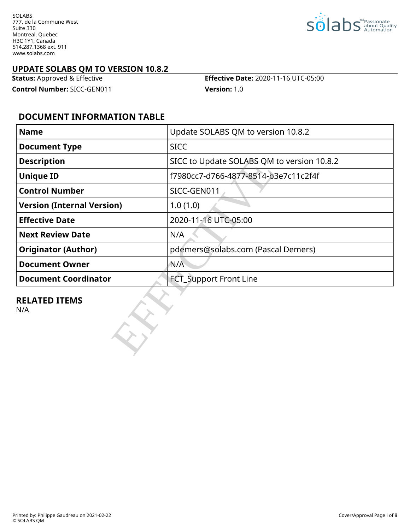SOLABS 777, de la Commune West Suite 330 Montreal, Quebec H3C 1Y1, Canada 514.287.1368 ext. 911 www.solabs.com



#### **UPDATE SOLABS QM TO VERSION 10.8.2**

**Control Number:** SICC-GEN011 **Version:** 1.0

**Status:** Approved & Effective **Effective Date:** 2020-11-16 UTC-05:00

### **DOCUMENT INFORMATION TABLE**

| <b>Name</b>                       | Update SOLABS QM to version 10.8.2         |  |  |  |  |  |
|-----------------------------------|--------------------------------------------|--|--|--|--|--|
| <b>Document Type</b>              | <b>SICC</b>                                |  |  |  |  |  |
| <b>Description</b>                | SICC to Update SOLABS QM to version 10.8.2 |  |  |  |  |  |
| <b>Unique ID</b>                  | f7980cc7-d766-4877-8514-b3e7c11c2f4f       |  |  |  |  |  |
| <b>Control Number</b>             | SICC-GEN011                                |  |  |  |  |  |
| <b>Version (Internal Version)</b> | 1.0(1.0)                                   |  |  |  |  |  |
| <b>Effective Date</b>             | 2020-11-16 UTC-05:00                       |  |  |  |  |  |
| <b>Next Review Date</b>           | N/A                                        |  |  |  |  |  |
| <b>Originator (Author)</b>        | pdemers@solabs.com (Pascal Demers)         |  |  |  |  |  |
| <b>Document Owner</b>             | N/A                                        |  |  |  |  |  |
| <b>Document Coordinator</b>       | <b>FCT_Support Front Line</b>              |  |  |  |  |  |
| <b>RELATED ITEMS</b><br>N/A       |                                            |  |  |  |  |  |

# **RELATED ITEMS**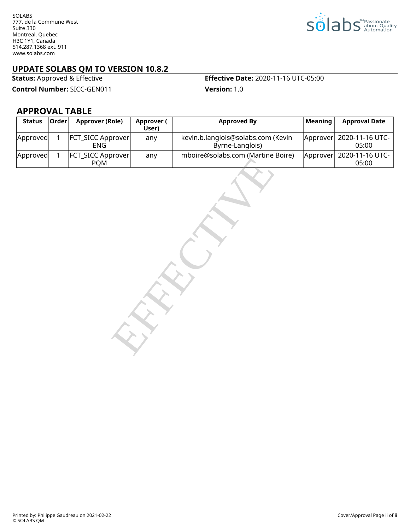SOLABS 777, de la Commune West Suite 330 Montreal, Quebec H3C 1Y1, Canada 514.287.1368 ext. 911 www.solabs.com



# **UPDATE SOLABS QM TO VERSION 10.8.2**<br>**Status:** Approved & Effective

**Control Number:** SICC-GEN011 **Version:** 1.0

**Effective Date:** 2020-11-16 UTC-05:00

**APPROVAL TABLE**

| <b>Status</b> | <b>Orderl</b> | Approver (Role)                        | Approver (<br>User) | <b>Approved By</b>                                    | Meaning | <b>Approval Date</b>               |
|---------------|---------------|----------------------------------------|---------------------|-------------------------------------------------------|---------|------------------------------------|
| Approved      |               | <b>FCT_SICC Approver</b><br>ENG        | any                 | kevin.b.langlois@solabs.com (Kevin<br>Byrne-Langlois) |         | Approver  2020-11-16 UTC-<br>05:00 |
| Approved      |               | <b>FCT_SICC Approver</b><br><b>POM</b> | any                 | mboire@solabs.com (Martine Boire)                     |         | Approver  2020-11-16 UTC-<br>05:00 |

MINOR CONSUMING SUBJECT (1998)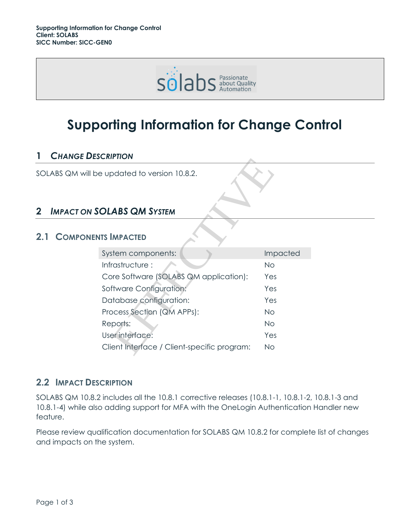

# **Supporting Information for Change Control**

### **1** *CHANGE DESCRIPTION*

SOLABS QM will be updated to version 10.8.2.

## **2** *IMPACT ON SOLABS QM SYSTEM*

#### **2.1 COMPONENTS IMPACTED**

| <b>CRIPIION</b>                             |                 |  |  |  |  |
|---------------------------------------------|-----------------|--|--|--|--|
| e updated to version 10.8.2.                |                 |  |  |  |  |
| <b>OLABS QM SYSTEM</b>                      |                 |  |  |  |  |
|                                             |                 |  |  |  |  |
| <b>ITS IMPACTED</b>                         |                 |  |  |  |  |
| System components:                          | <b>Impacted</b> |  |  |  |  |
| Infrastructure:                             | <b>No</b>       |  |  |  |  |
| Core Software (SOLABS QM application):      | Yes             |  |  |  |  |
| Software Configuration:                     | Yes             |  |  |  |  |
| Database configuration:                     | Yes             |  |  |  |  |
| Process Section (QM APPs):                  | No              |  |  |  |  |
| Reports:                                    | No              |  |  |  |  |
| User interface:                             | Yes             |  |  |  |  |
| Client Interface / Client-specific program: | Νo              |  |  |  |  |
|                                             |                 |  |  |  |  |

#### **2.2 IMPACT DESCRIPTION**

SOLABS QM 10.8.2 includes all the 10.8.1 corrective releases (10.8.1-1, 10.8.1-2, 10.8.1-3 and 10.8.1-4) while also adding support for MFA with the OneLogin Authentication Handler new feature.

Please review qualification documentation for SOLABS QM 10.8.2 for complete list of changes and impacts on the system.